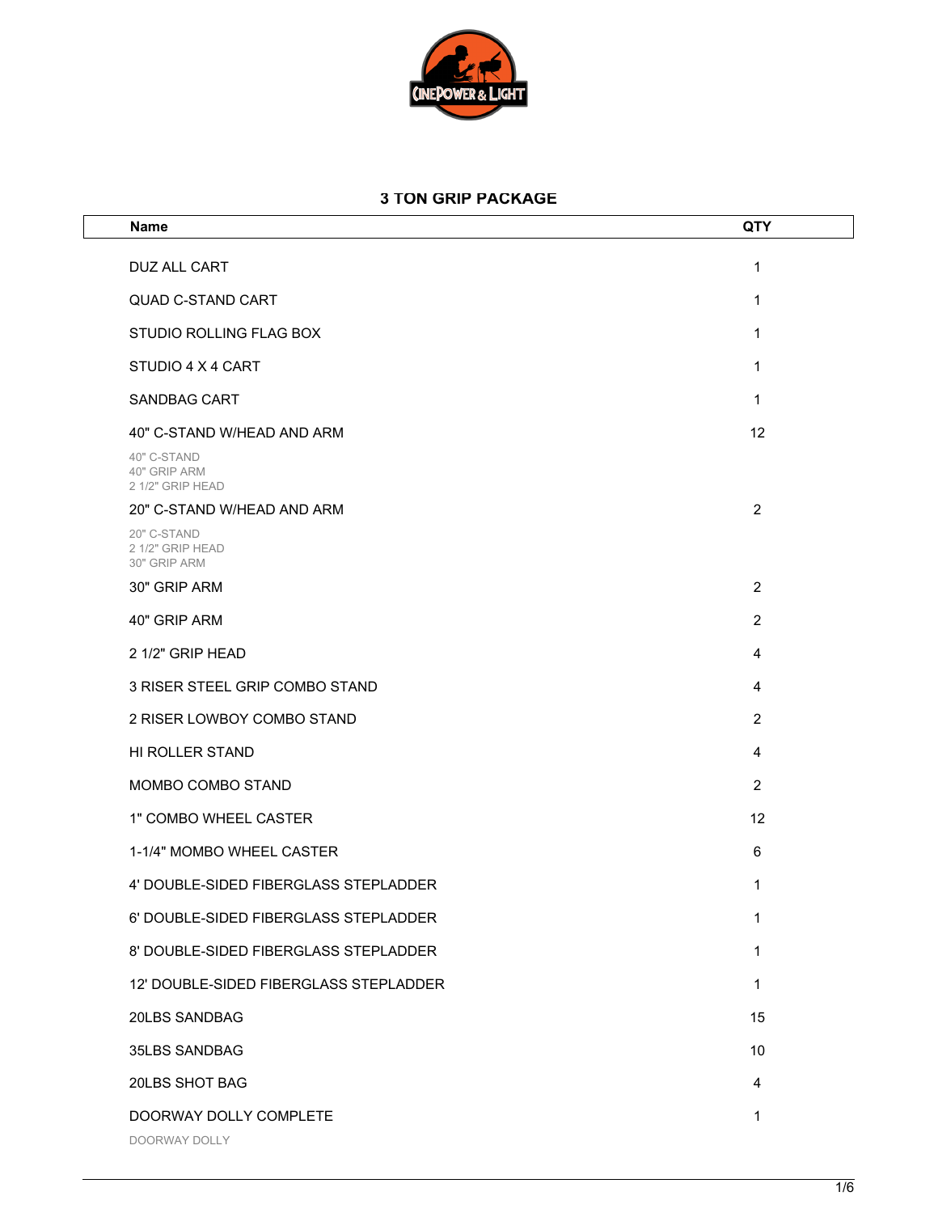

## **3 TON GRIP PACKAGE**

| <b>Name</b>                                     | QTY |
|-------------------------------------------------|-----|
| DUZ ALL CART                                    | 1   |
| <b>QUAD C-STAND CART</b>                        | 1   |
| STUDIO ROLLING FLAG BOX                         | 1   |
| STUDIO 4 X 4 CART                               | 1   |
| <b>SANDBAG CART</b>                             | 1   |
| 40" C-STAND W/HEAD AND ARM                      | 12  |
| 40" C-STAND<br>40" GRIP ARM<br>2 1/2" GRIP HEAD |     |
| 20" C-STAND W/HEAD AND ARM                      | 2   |
| 20" C-STAND<br>2 1/2" GRIP HEAD<br>30" GRIP ARM |     |
| 30" GRIP ARM                                    | 2   |
| 40" GRIP ARM                                    | 2   |
| 2 1/2" GRIP HEAD                                | 4   |
| 3 RISER STEEL GRIP COMBO STAND                  | 4   |
| 2 RISER LOWBOY COMBO STAND                      | 2   |
| HI ROLLER STAND                                 | 4   |
| MOMBO COMBO STAND                               | 2   |
| 1" COMBO WHEEL CASTER                           | 12  |
| 1-1/4" MOMBO WHEEL CASTER                       | 6   |
| 4' DOUBLE-SIDED FIBERGLASS STEPLADDER           | 1   |
| 6' DOUBLE-SIDED FIBERGLASS STEPLADDER           | 1   |
| 8' DOUBLE-SIDED FIBERGLASS STEPLADDER           | 1   |
| 12' DOUBLE-SIDED FIBERGLASS STEPLADDER          | 1   |
| 20LBS SANDBAG                                   | 15  |
| 35LBS SANDBAG                                   | 10  |
| 20LBS SHOT BAG                                  | 4   |
| DOORWAY DOLLY COMPLETE<br>DOORWAY DOLLY         | 1   |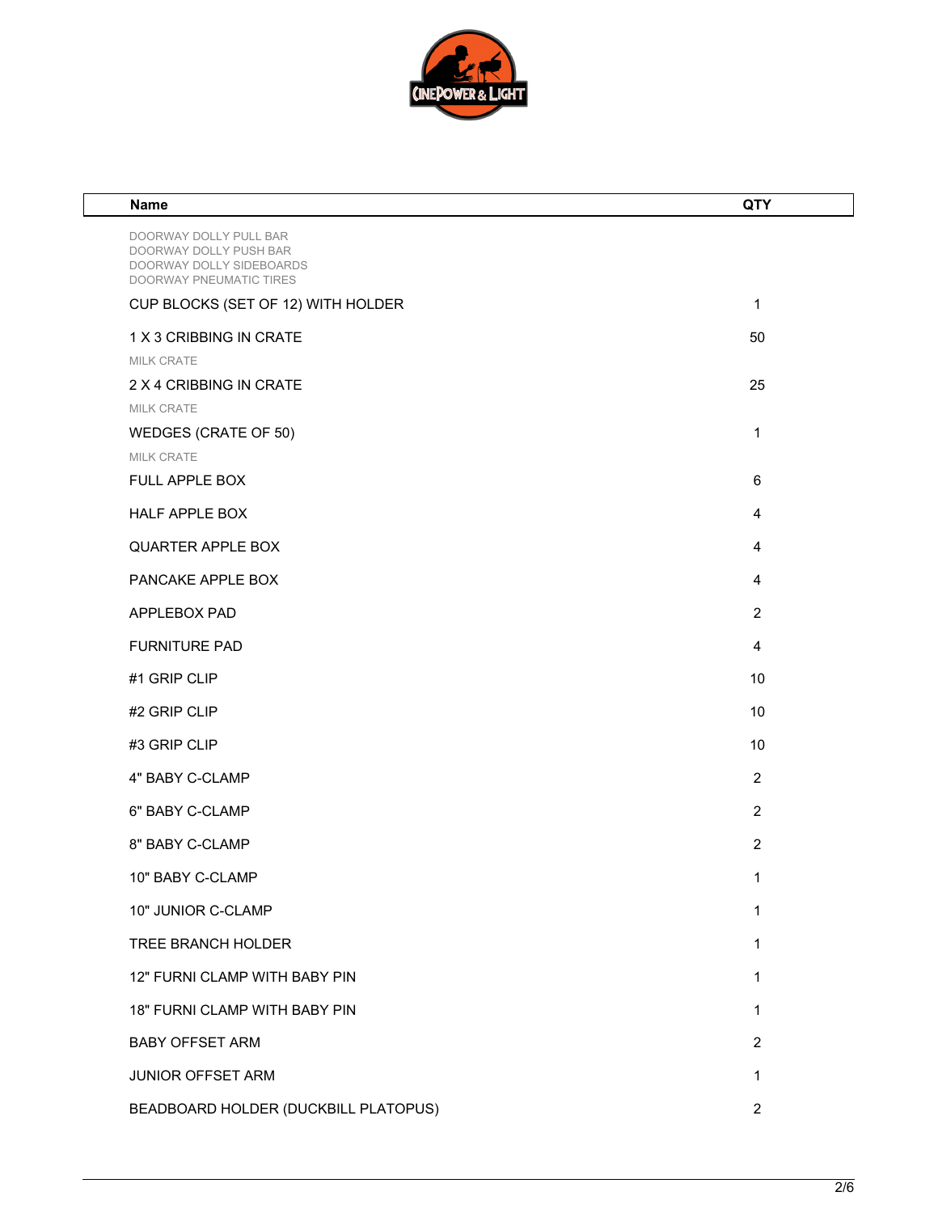

| Name                                                                                                    | <b>QTY</b>     |
|---------------------------------------------------------------------------------------------------------|----------------|
| DOORWAY DOLLY PULL BAR<br>DOORWAY DOLLY PUSH BAR<br>DOORWAY DOLLY SIDEBOARDS<br>DOORWAY PNEUMATIC TIRES |                |
| CUP BLOCKS (SET OF 12) WITH HOLDER                                                                      | 1              |
| 1 X 3 CRIBBING IN CRATE                                                                                 | 50             |
| MILK CRATE                                                                                              |                |
| 2 X 4 CRIBBING IN CRATE                                                                                 | 25             |
| MILK CRATE                                                                                              |                |
| WEDGES (CRATE OF 50)<br>MILK CRATE                                                                      | 1              |
| FULL APPLE BOX                                                                                          | 6              |
| HALF APPLE BOX                                                                                          | 4              |
| QUARTER APPLE BOX                                                                                       | 4              |
| PANCAKE APPLE BOX                                                                                       | 4              |
| APPLEBOX PAD                                                                                            | $\overline{2}$ |
| <b>FURNITURE PAD</b>                                                                                    | 4              |
| #1 GRIP CLIP                                                                                            | 10             |
| #2 GRIP CLIP                                                                                            | 10             |
| #3 GRIP CLIP                                                                                            | 10             |
| 4" BABY C-CLAMP                                                                                         | $\overline{2}$ |
| 6" BABY C-CLAMP                                                                                         | $\overline{2}$ |
| 8" BABY C-CLAMP                                                                                         | $\overline{2}$ |
| 10" BABY C-CLAMP                                                                                        | 1              |
| 10" JUNIOR C-CLAMP                                                                                      | 1              |
| TREE BRANCH HOLDER                                                                                      | 1              |
| 12" FURNI CLAMP WITH BABY PIN                                                                           | 1              |
| 18" FURNI CLAMP WITH BABY PIN                                                                           | 1              |
| <b>BABY OFFSET ARM</b>                                                                                  | $\overline{2}$ |
| JUNIOR OFFSET ARM                                                                                       | 1              |
| BEADBOARD HOLDER (DUCKBILL PLATOPUS)                                                                    | $\overline{2}$ |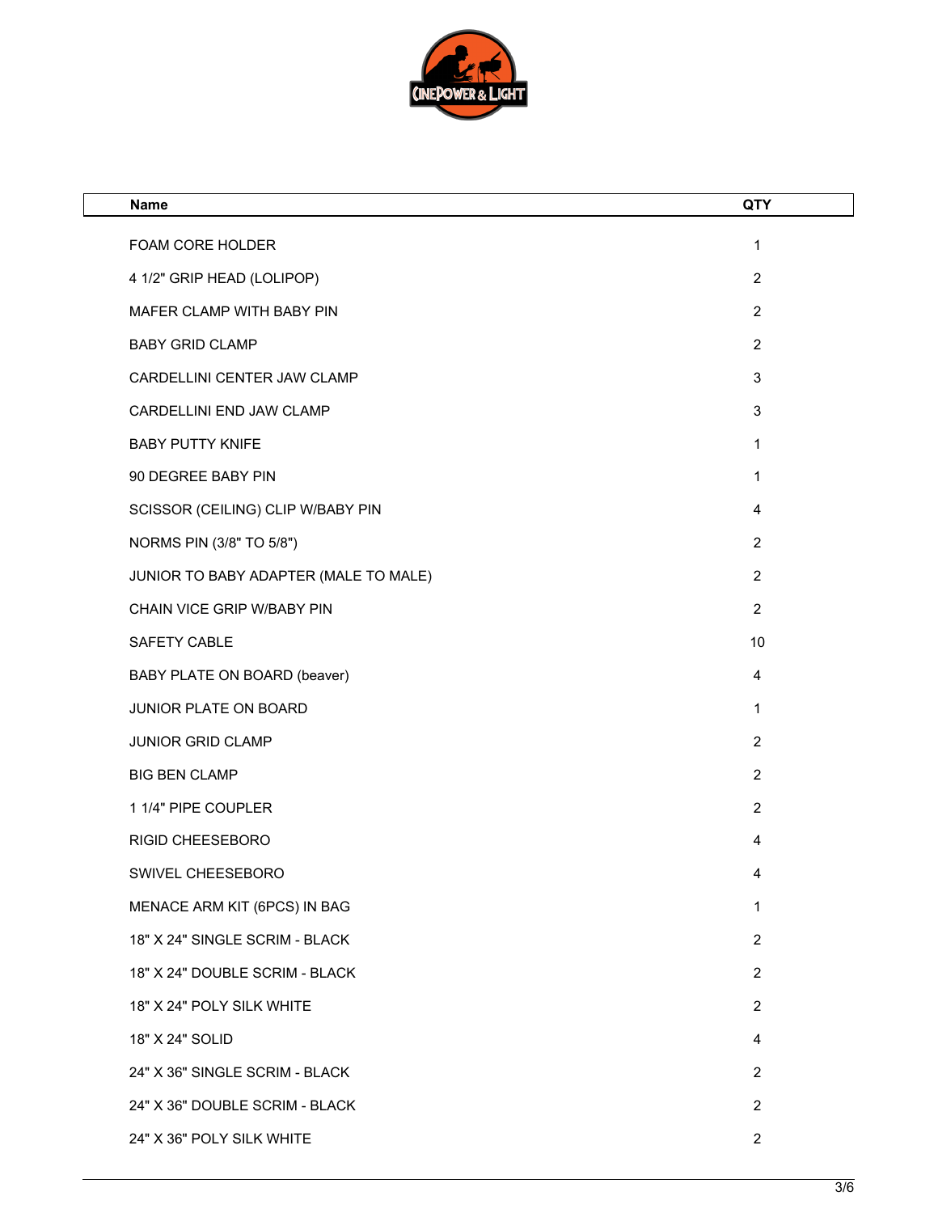

| <b>Name</b>                           | <b>QTY</b>     |
|---------------------------------------|----------------|
| FOAM CORE HOLDER                      | 1              |
| 4 1/2" GRIP HEAD (LOLIPOP)            | $\overline{2}$ |
| MAFER CLAMP WITH BABY PIN             | $\overline{2}$ |
| <b>BABY GRID CLAMP</b>                | $\overline{2}$ |
| CARDELLINI CENTER JAW CLAMP           | $\sqrt{3}$     |
| CARDELLINI END JAW CLAMP              | $\sqrt{3}$     |
| <b>BABY PUTTY KNIFE</b>               | 1              |
| 90 DEGREE BABY PIN                    | 1              |
| SCISSOR (CEILING) CLIP W/BABY PIN     | 4              |
| NORMS PIN (3/8" TO 5/8")              | $\overline{2}$ |
| JUNIOR TO BABY ADAPTER (MALE TO MALE) | $\overline{2}$ |
| CHAIN VICE GRIP W/BABY PIN            | $\overline{2}$ |
| SAFETY CABLE                          | 10             |
| BABY PLATE ON BOARD (beaver)          | 4              |
| JUNIOR PLATE ON BOARD                 | 1              |
| JUNIOR GRID CLAMP                     | $\overline{2}$ |
| <b>BIG BEN CLAMP</b>                  | $\overline{2}$ |
| 1 1/4" PIPE COUPLER                   | $\overline{2}$ |
| <b>RIGID CHEESEBORO</b>               | 4              |
| SWIVEL CHEESEBORO                     | 4              |
| MENACE ARM KIT (6PCS) IN BAG          | 1              |
| 18" X 24" SINGLE SCRIM - BLACK        | $\overline{2}$ |
| 18" X 24" DOUBLE SCRIM - BLACK        | $\overline{2}$ |
| 18" X 24" POLY SILK WHITE             | 2              |
| 18" X 24" SOLID                       | $\overline{4}$ |
| 24" X 36" SINGLE SCRIM - BLACK        | $\overline{2}$ |
| 24" X 36" DOUBLE SCRIM - BLACK        | $\overline{2}$ |
| 24" X 36" POLY SILK WHITE             | $\overline{2}$ |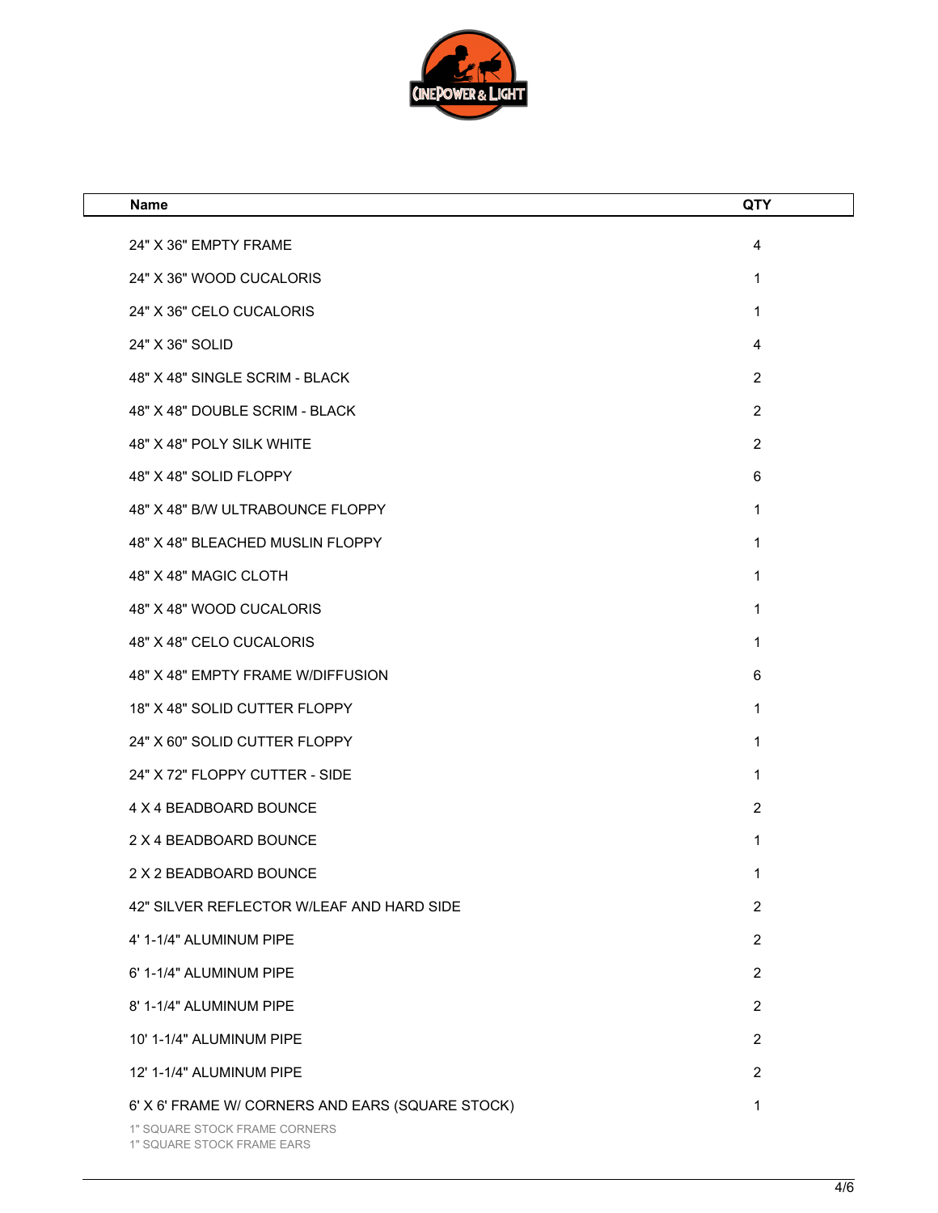

| <b>Name</b>                                                                       | <b>QTY</b>     |
|-----------------------------------------------------------------------------------|----------------|
| 24" X 36" EMPTY FRAME                                                             | 4              |
| 24" X 36" WOOD CUCALORIS                                                          | 1              |
| 24" X 36" CELO CUCALORIS                                                          | 1              |
| 24" X 36" SOLID                                                                   | 4              |
| 48" X 48" SINGLE SCRIM - BLACK                                                    | $\overline{2}$ |
| 48" X 48" DOUBLE SCRIM - BLACK                                                    | $\overline{2}$ |
| 48" X 48" POLY SILK WHITE                                                         | $\overline{2}$ |
| 48" X 48" SOLID FLOPPY                                                            | 6              |
| 48" X 48" B/W ULTRABOUNCE FLOPPY                                                  | 1              |
| 48" X 48" BLEACHED MUSLIN FLOPPY                                                  | 1              |
| 48" X 48" MAGIC CLOTH                                                             | 1              |
| 48" X 48" WOOD CUCALORIS                                                          | 1              |
| 48" X 48" CELO CUCALORIS                                                          | 1              |
| 48" X 48" EMPTY FRAME W/DIFFUSION                                                 | 6              |
| 18" X 48" SOLID CUTTER FLOPPY                                                     | 1              |
| 24" X 60" SOLID CUTTER FLOPPY                                                     | 1              |
| 24" X 72" FLOPPY CUTTER - SIDE                                                    | 1              |
| 4 X 4 BEADBOARD BOUNCE                                                            | $\overline{2}$ |
| 2 X 4 BEADBOARD BOUNCE                                                            | 1              |
| 2 X 2 BEADBOARD BOUNCE                                                            | 1              |
| 42" SILVER REFLECTOR W/LEAF AND HARD SIDE                                         | $\overline{2}$ |
| 4' 1-1/4" ALUMINUM PIPE                                                           | $\overline{2}$ |
| 6' 1-1/4" ALUMINUM PIPE                                                           | $\overline{2}$ |
| 8' 1-1/4" ALUMINUM PIPE                                                           | $\overline{2}$ |
| 10' 1-1/4" ALUMINUM PIPE                                                          | $\overline{2}$ |
| 12' 1-1/4" ALUMINUM PIPE                                                          | $\overline{2}$ |
| 6' X 6' FRAME W/ CORNERS AND EARS (SQUARE STOCK)<br>1" SQUARE STOCK FRAME CORNERS | 1              |

1" SQUARE STOCK FRAME EARS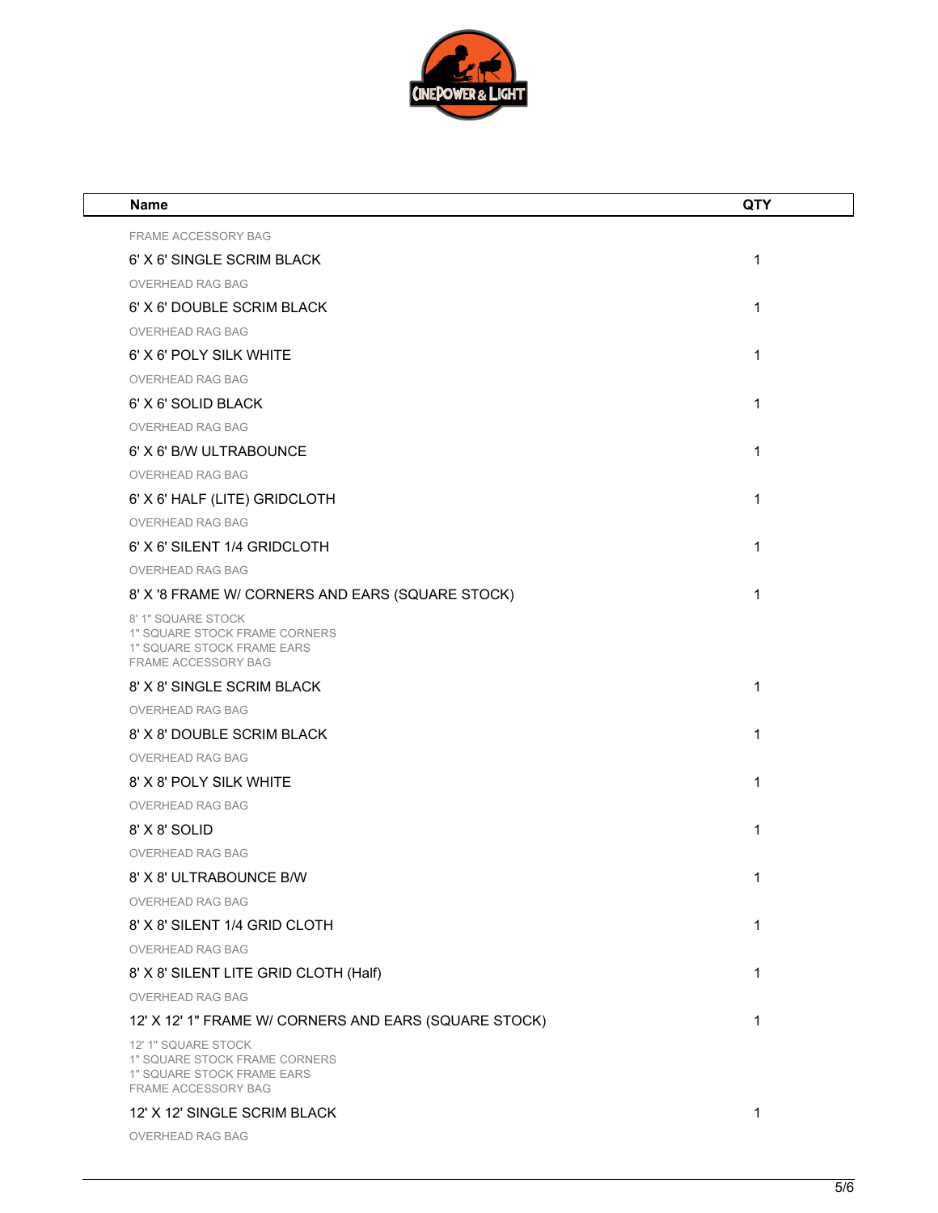

| Name                                                                                                      | <b>QTY</b> |
|-----------------------------------------------------------------------------------------------------------|------------|
| FRAME ACCESSORY BAG                                                                                       |            |
| 6' X 6' SINGLE SCRIM BLACK                                                                                | 1          |
| <b>OVERHEAD RAG BAG</b>                                                                                   |            |
| 6' X 6' DOUBLE SCRIM BLACK                                                                                | 1          |
| <b>OVERHEAD RAG BAG</b>                                                                                   |            |
| 6' X 6' POLY SILK WHITE                                                                                   | 1          |
| <b>OVERHEAD RAG BAG</b>                                                                                   |            |
| 6' X 6' SOLID BLACK                                                                                       | 1          |
| <b>OVERHEAD RAG BAG</b>                                                                                   |            |
| 6' X 6' B/W ULTRABOUNCE                                                                                   | 1          |
| OVERHEAD RAG BAG                                                                                          |            |
| 6' X 6' HALF (LITE) GRIDCLOTH                                                                             | 1          |
| <b>OVERHEAD RAG BAG</b>                                                                                   |            |
| 6' X 6' SILENT 1/4 GRIDCLOTH                                                                              | 1          |
| <b>OVERHEAD RAG BAG</b>                                                                                   |            |
| 8' X '8 FRAME W/ CORNERS AND EARS (SQUARE STOCK)                                                          | 1          |
| 8' 1" SQUARE STOCK<br>1" SQUARE STOCK FRAME CORNERS<br>1" SQUARE STOCK FRAME EARS<br>FRAME ACCESSORY BAG  |            |
| 8' X 8' SINGLE SCRIM BLACK                                                                                | 1          |
| <b>OVERHEAD RAG BAG</b>                                                                                   |            |
| 8' X 8' DOUBLE SCRIM BLACK                                                                                | 1          |
| <b>OVERHEAD RAG BAG</b>                                                                                   |            |
| 8' X 8' POLY SILK WHITE                                                                                   | 1          |
| <b>OVERHEAD RAG BAG</b>                                                                                   |            |
| 8' X 8' SOLID                                                                                             | 1          |
| <b>OVERHEAD RAG BAG</b>                                                                                   |            |
| 8' X 8' ULTRABOUNCE B/W                                                                                   | 1          |
| OVERHEAD RAG BAG                                                                                          |            |
| 8' X 8' SILENT 1/4 GRID CLOTH                                                                             | 1          |
| OVERHEAD RAG BAG                                                                                          |            |
| 8' X 8' SILENT LITE GRID CLOTH (Half)                                                                     | 1          |
| <b>OVERHEAD RAG BAG</b>                                                                                   |            |
| 12' X 12' 1" FRAME W/ CORNERS AND EARS (SQUARE STOCK)                                                     | 1          |
| 12' 1" SQUARE STOCK<br>1" SQUARE STOCK FRAME CORNERS<br>1" SQUARE STOCK FRAME EARS<br>FRAME ACCESSORY BAG |            |
| 12' X 12' SINGLE SCRIM BLACK                                                                              | 1          |

OVERHEAD RAG BAG